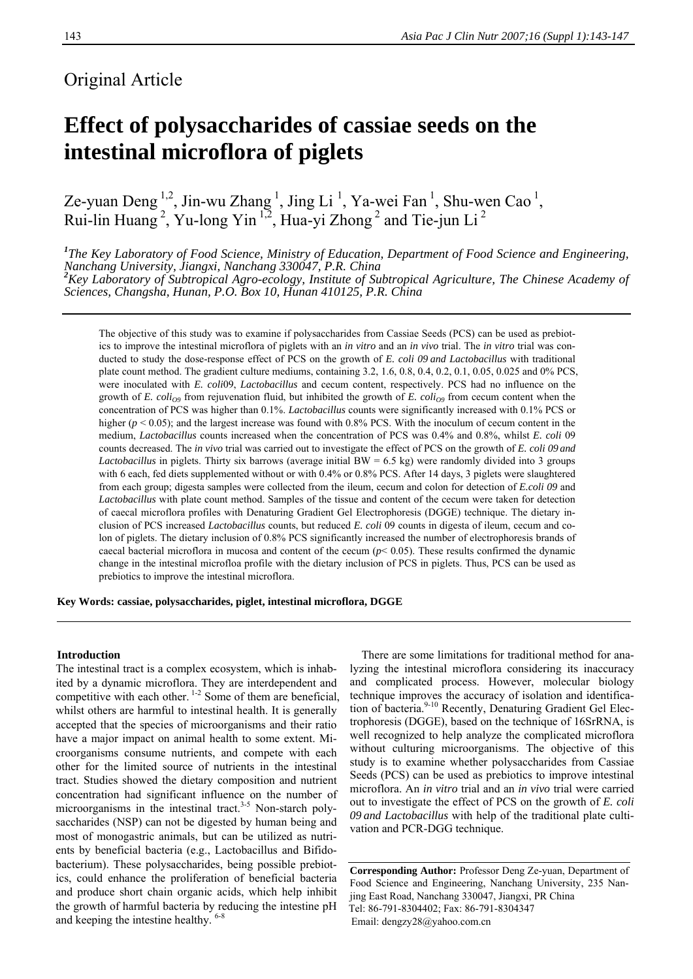# Original Article

# **Effect of polysaccharides of cassiae seeds on the intestinal microflora of piglets**

Ze-yuan Deng <sup>1,2</sup>, Jin-wu Zhang <sup>1</sup>, Jing Li <sup>1</sup>, Ya-wei Fan <sup>1</sup>, Shu-wen Cao <sup>1</sup>, Rui-lin Huang<sup>2</sup>, Yu-long Yin<sup>1,2</sup>, Hua-yi Zhong<sup>2</sup> and Tie-jun Li<sup>2</sup>

<sup>1</sup>The Key Laboratory of Food Science, Ministry of Education, Department of Food Science and Engineering, Nanchang University, Jiangxi, Nanchang 330047, P.R. China<br><sup>2</sup>Key Laboratory of Subtropical Agro-ecology, Institute of Subtropical Agriculture, The Chinese Academy of *Sciences, Changsha, Hunan, P.O. Box 10, Hunan 410125, P.R. China*

The objective of this study was to examine if polysaccharides from Cassiae Seeds (PCS) can be used as prebiotics to improve the intestinal microflora of piglets with an *in vitro* and an *in vivo* trial. The *in vitro* trial was conducted to study the dose-response effect of PCS on the growth of *E. coli 09 and Lactobacillus* with traditional plate count method. The gradient culture mediums, containing 3.2, 1.6, 0.8, 0.4, 0.2, 0.1, 0.05, 0.025 and 0% PCS, were inoculated with *E. coli*09, *Lactobacillus* and cecum content, respectively. PCS had no influence on the growth of *E. coli<sub>O9</sub>* from rejuvenation fluid, but inhibited the growth of *E. coli<sub>O9</sub>* from cecum content when the concentration of PCS was higher than 0.1%. *Lactobacillus* counts were significantly increased with 0.1% PCS or higher ( $p < 0.05$ ); and the largest increase was found with 0.8% PCS. With the inoculum of cecum content in the medium, *Lactobacillus* counts increased when the concentration of PCS was 0.4% and 0.8%, whilst *E. coli* 09 counts decreased. The *in vivo* trial was carried out to investigate the effect of PCS on the growth of *E. coli 09 and Lactobacillus* in piglets. Thirty six barrows (average initial BW = 6.5 kg) were randomly divided into 3 groups with 6 each, fed diets supplemented without or with 0.4% or 0.8% PCS. After 14 days, 3 piglets were slaughtered from each group; digesta samples were collected from the ileum, cecum and colon for detection of *E.coli 09* and *Lactobacillus* with plate count method. Samples of the tissue and content of the cecum were taken for detection of caecal microflora profiles with Denaturing Gradient Gel Electrophoresis (DGGE) technique. The dietary inclusion of PCS increased *Lactobacillus* counts, but reduced *E. coli* 09 counts in digesta of ileum, cecum and colon of piglets. The dietary inclusion of 0.8% PCS significantly increased the number of electrophoresis brands of caecal bacterial microflora in mucosa and content of the cecum  $(p< 0.05)$ . These results confirmed the dynamic change in the intestinal microfloa profile with the dietary inclusion of PCS in piglets. Thus, PCS can be used as prebiotics to improve the intestinal microflora.

**Key Words: cassiae, polysaccharides, piglet, intestinal microflora, DGGE** 

# **Introduction**

The intestinal tract is a complex ecosystem, which is inhabited by a dynamic microflora. They are interdependent and competitive with each other. 1-2 Some of them are beneficial, whilst others are harmful to intestinal health. It is generally accepted that the species of microorganisms and their ratio have a major impact on animal health to some extent. Microorganisms consume nutrients, and compete with each other for the limited source of nutrients in the intestinal tract. Studies showed the dietary composition and nutrient concentration had significant influence on the number of microorganisms in the intestinal tract.<sup>3-5</sup> Non-starch polysaccharides (NSP) can not be digested by human being and most of monogastric animals, but can be utilized as nutrients by beneficial bacteria (e.g., Lactobacillus and Bifidobacterium). These polysaccharides, being possible prebiotics, could enhance the proliferation of beneficial bacteria and produce short chain organic acids, which help inhibit the growth of harmful bacteria by reducing the intestine pH and keeping the intestine healthy. 6-8

There are some limitations for traditional method for analyzing the intestinal microflora considering its inaccuracy and complicated process. However, molecular biology technique improves the accuracy of isolation and identification of bacteria.<sup>9-10</sup> Recently, Denaturing Gradient Gel Electrophoresis (DGGE), based on the technique of 16SrRNA, is well recognized to help analyze the complicated microflora without culturing microorganisms. The objective of this study is to examine whether polysaccharides from Cassiae Seeds (PCS) can be used as prebiotics to improve intestinal microflora. An *in vitro* trial and an *in vivo* trial were carried out to investigate the effect of PCS on the growth of *E. coli 09 and Lactobacillus* with help of the traditional plate cultivation and PCR-DGG technique.

**Corresponding Author:** Professor Deng Ze-yuan, Department of Food Science and Engineering, Nanchang University, 235 Nanjing East Road, Nanchang 330047, Jiangxi, PR China Tel: 86-791-8304402; Fax: 86-791-8304347 Email: dengzy28@yahoo.com.cn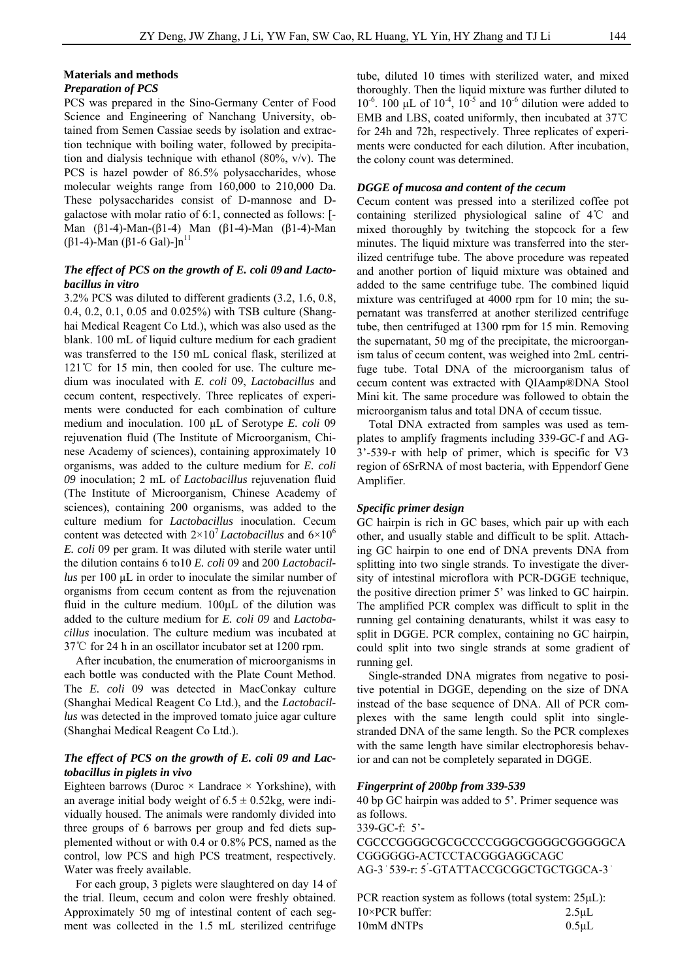# **Materials and methods**

# *Preparation of PCS*

PCS was prepared in the Sino-Germany Center of Food Science and Engineering of Nanchang University, obtained from Semen Cassiae seeds by isolation and extraction technique with boiling water, followed by precipitation and dialysis technique with ethanol (80%, v/v). The PCS is hazel powder of 86.5% polysaccharides, whose molecular weights range from 160,000 to 210,000 Da. These polysaccharides consist of D-mannose and Dgalactose with molar ratio of 6:1, connected as follows: [- Man (β1-4)-Man-(β1-4) Man (β1-4)-Man (β1-4)-Man (β1-4)-Man (β1-6 Gal)-]n<sup>11</sup>

# *The effect of PCS on the growth of E. coli 09 and Lactobacillus in vitro*

3.2% PCS was diluted to different gradients (3.2, 1.6, 0.8, 0.4, 0.2, 0.1, 0.05 and 0.025%) with TSB culture (Shanghai Medical Reagent Co Ltd.), which was also used as the blank. 100 mL of liquid culture medium for each gradient was transferred to the 150 mL conical flask, sterilized at 121℃ for 15 min, then cooled for use. The culture medium was inoculated with *E. coli* 09, *Lactobacillus* and cecum content, respectively. Three replicates of experiments were conducted for each combination of culture medium and inoculation. 100 μL of Serotype *E. coli* 09 rejuvenation fluid (The Institute of Microorganism, Chinese Academy of sciences), containing approximately 10 organisms, was added to the culture medium for *E. coli 09* inoculation; 2 mL of *Lactobacillus* rejuvenation fluid (The Institute of Microorganism, Chinese Academy of sciences), containing 200 organisms, was added to the culture medium for *Lactobacillus* inoculation. Cecum content was detected with 2×107 *Lactobacillus* and 6×10<sup>6</sup> *E. coli* 09 per gram. It was diluted with sterile water until the dilution contains 6 to10 *E. coli* 09 and 200 *Lactobacillus* per 100 μL in order to inoculate the similar number of organisms from cecum content as from the rejuvenation fluid in the culture medium. 100μL of the dilution was added to the culture medium for *E. coli 09* and *Lactobacillus* inoculation. The culture medium was incubated at 37℃ for 24 h in an oscillator incubator set at 1200 rpm.

After incubation, the enumeration of microorganisms in each bottle was conducted with the Plate Count Method. The *E. coli* 09 was detected in MacConkay culture (Shanghai Medical Reagent Co Ltd.), and the *Lactobacillus* was detected in the improved tomato juice agar culture (Shanghai Medical Reagent Co Ltd.).

# *The effect of PCS on the growth of E. coli 09 and Lactobacillus in piglets in vivo*

Eighteen barrows (Duroc  $\times$  Landrace  $\times$  Yorkshine), with an average initial body weight of  $6.5 \pm 0.52$ kg, were individually housed. The animals were randomly divided into three groups of 6 barrows per group and fed diets supplemented without or with 0.4 or 0.8% PCS, named as the control, low PCS and high PCS treatment, respectively. Water was freely available.

For each group, 3 piglets were slaughtered on day 14 of the trial. Ileum, cecum and colon were freshly obtained. Approximately 50 mg of intestinal content of each segment was collected in the 1.5 mL sterilized centrifuge

tube, diluted 10 times with sterilized water, and mixed thoroughly. Then the liquid mixture was further diluted to  $10^{-6}$ . 100 μL of  $10^{-4}$ ,  $10^{-5}$  and  $10^{-6}$  dilution were added to EMB and LBS, coated uniformly, then incubated at 37℃ for 24h and 72h, respectively. Three replicates of experiments were conducted for each dilution. After incubation, the colony count was determined.

#### *DGGE of mucosa and content of the cecum*

Cecum content was pressed into a sterilized coffee pot containing sterilized physiological saline of 4℃ and mixed thoroughly by twitching the stopcock for a few minutes. The liquid mixture was transferred into the sterilized centrifuge tube. The above procedure was repeated and another portion of liquid mixture was obtained and added to the same centrifuge tube. The combined liquid mixture was centrifuged at 4000 rpm for 10 min; the supernatant was transferred at another sterilized centrifuge tube, then centrifuged at 1300 rpm for 15 min. Removing the supernatant, 50 mg of the precipitate, the microorganism talus of cecum content, was weighed into 2mL centrifuge tube. Total DNA of the microorganism talus of cecum content was extracted with QIAamp®DNA Stool Mini kit. The same procedure was followed to obtain the microorganism talus and total DNA of cecum tissue.

Total DNA extracted from samples was used as templates to amplify fragments including 339-GC-f and AG-3'-539-r with help of primer, which is specific for V3 region of 6SrRNA of most bacteria, with Eppendorf Gene Amplifier.

#### *Specific primer design*

GC hairpin is rich in GC bases, which pair up with each other, and usually stable and difficult to be split. Attaching GC hairpin to one end of DNA prevents DNA from splitting into two single strands. To investigate the diversity of intestinal microflora with PCR-DGGE technique, the positive direction primer 5' was linked to GC hairpin. The amplified PCR complex was difficult to split in the running gel containing denaturants, whilst it was easy to split in DGGE. PCR complex, containing no GC hairpin, could split into two single strands at some gradient of running gel.

Single-stranded DNA migrates from negative to positive potential in DGGE, depending on the size of DNA instead of the base sequence of DNA. All of PCR complexes with the same length could split into singlestranded DNA of the same length. So the PCR complexes with the same length have similar electrophoresis behavior and can not be completely separated in DGGE.

#### *Fingerprint of 200bp from 339-539*

40 bp GC hairpin was added to 5'. Primer sequence was as follows. 339-GC-f: 5'-

CGCCCGGGGCGCGCCCCGGGCGGGGCGGGGGCA CGGGGGG-ACTCCTACGGGAGGCAGC AG-3'539-r: 5'-GTATTACCGCGGCTGCTGGCA-3'

PCR reaction system as follows (total system: 25μL): 10×PCR buffer: 2.5μL 10mM dNTPs 0.5μL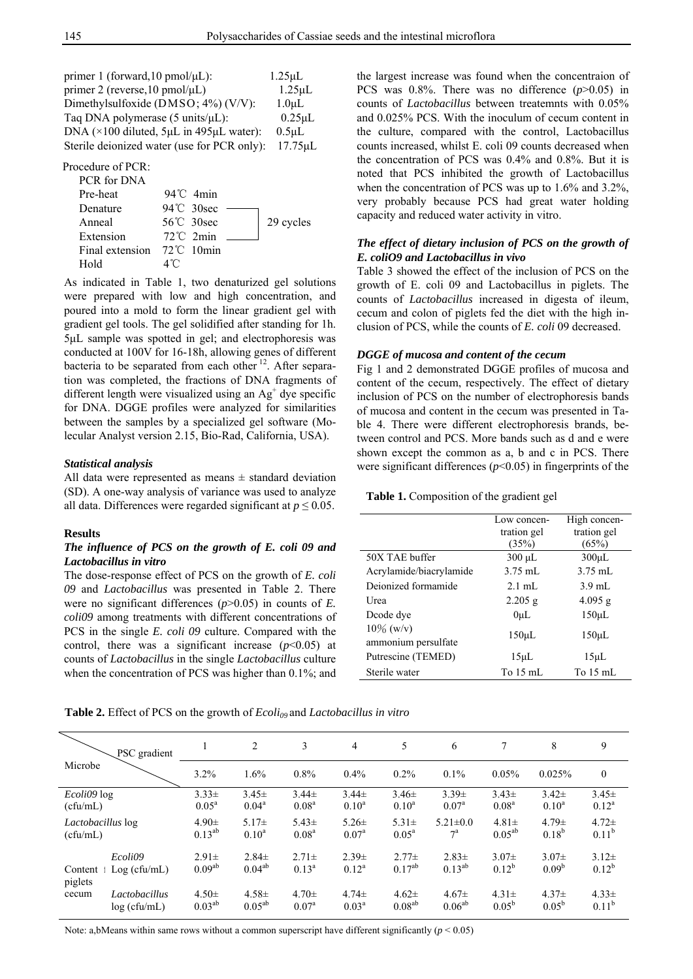| primer 1 (forward, $10$ pmol/ $\mu$ L):              | $1.25 \mu L$       |
|------------------------------------------------------|--------------------|
| primer 2 (reverse, $10 \text{ pmol/}\mu\text{L}$ )   | $1.25 \mu L$       |
| Dimethylsulfoxide (DMSO; 4%) (V/V):                  | 1.0 <sub>µ</sub> L |
| Taq DNA polymerase $(5 \text{ units/}\mu\text{L})$ : | $0.25 \mu L$       |
| DNA ( $\times$ 100 diluted, 5µL in 495µL water):     | $0.5$ uL           |
| Sterile deionized water (use for PCR only):          | 17.75µL            |

Procedure of PCR:

| PCR for DNA                           |                     |           |
|---------------------------------------|---------------------|-----------|
| Pre-heat                              | $94^{\circ}$ C 4min |           |
| Denature                              | 94°C 30sec          |           |
| Anneal                                | 56°C 30sec          | 29 cycles |
| Extension                             | $72^{\circ}$ C 2min |           |
| Final extension $72^{\circ}$ C 10 min |                     |           |
| Hold                                  | ⊿°∩                 |           |

As indicated in Table 1, two denaturized gel solutions were prepared with low and high concentration, and poured into a mold to form the linear gradient gel with gradient gel tools. The gel solidified after standing for 1h. 5μL sample was spotted in gel; and electrophoresis was conducted at 100V for 16-18h, allowing genes of different bacteria to be separated from each other  $12$ . After separation was completed, the fractions of DNA fragments of different length were visualized using an  $Ag<sup>+</sup>$  dye specific for DNA. DGGE profiles were analyzed for similarities between the samples by a specialized gel software (Molecular Analyst version 2.15, Bio-Rad, California, USA).

#### *Statistical analysis*

All data were represented as means  $\pm$  standard deviation (SD). A one-way analysis of variance was used to analyze all data. Differences were regarded significant at *p* ≤ 0*.*05.

#### **Results**

# *The influence of PCS on the growth of E. coli 09 and Lactobacillus in vitro*

The dose-response effect of PCS on the growth of *E. coli 09* and *Lactobacillus* was presented in Table 2. There were no significant differences (*p*>0.05) in counts of *E. coli09* among treatments with different concentrations of PCS in the single *E. coli 09* culture. Compared with the control, there was a significant increase  $(p<0.05)$  at counts of *Lactobacillus* in the single *Lactobacillus* culture when the concentration of PCS was higher than 0.1%; and

the largest increase was found when the concentraion of PCS was 0.8%. There was no difference (*p*>0.05) in counts of *Lactobacillus* between treatemnts with 0.05% and 0.025% PCS. With the inoculum of cecum content in the culture, compared with the control, Lactobacillus counts increased, whilst E. coli 09 counts decreased when the concentration of PCS was 0.4% and 0.8%. But it is noted that PCS inhibited the growth of Lactobacillus when the concentration of PCS was up to 1.6% and 3.2%, very probably because PCS had great water holding capacity and reduced water activity in vitro.

# *The effect of dietary inclusion of PCS on the growth of E. coliO9 and Lactobacillus in vivo*

Table 3 showed the effect of the inclusion of PCS on the growth of E. coli 09 and Lactobacillus in piglets. The counts of *Lactobacillus* increased in digesta of ileum, cecum and colon of piglets fed the diet with the high inclusion of PCS, while the counts of *E. coli* 09 decreased.

# *DGGE of mucosa and content of the cecum*

Fig 1 and 2 demonstrated DGGE profiles of mucosa and content of the cecum, respectively. The effect of dietary inclusion of PCS on the number of electrophoresis bands of mucosa and content in the cecum was presented in Table 4. There were different electrophoresis brands, between control and PCS. More bands such as d and e were shown except the common as a, b and c in PCS. There were significant differences (*p*<0.05) in fingerprints of the

#### **Table 1.** Composition of the gradient gel

|                                     | Low concen-        | High concen-       |
|-------------------------------------|--------------------|--------------------|
|                                     | tration gel        | tration gel        |
|                                     | (35%)              | (65%)              |
| 50X TAE buffer                      | $300 \mu L$        | $300 \mu L$        |
| Acrylamide/biacrylamide             | $3.75 \text{ mL}$  | $3.75$ mL          |
| Deionized formamide                 | $2.1 \text{ mL}$   | $3.9$ mL           |
| Urea                                | $2.205$ g          | $4.095$ g          |
| Dcode dye                           | 0 <sub>uL</sub>    | $150 \mu L$        |
| $10\%$ (w/v)<br>ammonium persulfate | $150 \mu L$        | $150 \mu L$        |
| Putrescine (TEMED)                  | $15 \mu L$         | $15 \mu L$         |
| Sterile water                       | To $15 \text{ mL}$ | To $15 \text{ mL}$ |

**Table 2.** Effect of PCS on the growth of *Ecoli09* and *Lactobacillus in vitro*

| PSC gradient<br>Microbe |               | $\overline{2}$    | 3              | 4                 | 5              | 6                 | 7                 | 8              | 9                 |            |
|-------------------------|---------------|-------------------|----------------|-------------------|----------------|-------------------|-------------------|----------------|-------------------|------------|
|                         | 3.2%          | 1.6%              | $0.8\%$        | 0.4%              | $0.2\%$        | 0.1%              | 0.05%             | 0.025%         | $\mathbf{0}$      |            |
| <i>Ecoli09</i> log      |               | $3.33 \pm$        | $3.45 \pm$     | $3.44 \pm$        | $3.44 \pm$     | $3.46 \pm$        | $3.39 \pm$        | $3.43 \pm$     | $3.42 \pm$        | $3.45 \pm$ |
| (cfu/mL)                |               | $0.05^{\text{a}}$ | $0.04^{\rm a}$ | 0.08 <sup>a</sup> | $0.10^a$       | $0.10^a$          | 0.07 <sup>a</sup> | $0.08^{\rm a}$ | $0.10^a$          | $0.12^a$   |
| Lactobacillus log       |               | $4.90 \pm$        | $5.17+$        | $5.43 \pm$        | $5.26 \pm$     | $5.31 \pm$        | $5.21 \pm 0.0$    | $4.81 \pm$     | $4.79 \pm$        | $4.72 \pm$ |
| (cfu/mL)                |               | $0.13^{ab}$       | $0.10^a$       | 0.08 <sup>a</sup> | $0.07^{\rm a}$ | $0.05^{\text{a}}$ | $7^{\mathrm{a}}$  | $0.05^{ab}$    | $0.18^{b}$        | $0.11^{b}$ |
| Content                 | Ecoli09       | $2.91 \pm$        | $2.84\pm$      | $2.71 \pm$        | $2.39\pm$      | $2.77\pm$         | $2.83 \pm$        | $3.07\pm$      | $3.07\pm$         | $3.12 \pm$ |
| piglets                 | Log (cfu/mL)  | $0.09^{ab}$       | $0.04^{ab}$    | $0.13^a$          | $0.12^a$       | $0.17^{ab}$       | $0.13^{ab}$       | $0.12^{b}$     | 0.09 <sup>b</sup> | $0.12^{b}$ |
| cecum                   | Lactobacillus | $4.50 \pm$        | $4.58 \pm$     | $4.70 \pm$        | $4.74 \pm$     | $4.62 \pm$        | $4.67\pm$         | $4.31 \pm$     | $4.37\pm$         | $4.33 \pm$ |
|                         | log(cfu/mL)   | $0.03^{ab}$       | $0.05^{ab}$    | $0.07^{\rm a}$    | $0.03^a$       | $0.08^{ab}$       | $0.06^{ab}$       | $0.05^{\rm b}$ | $0.05^{\rm b}$    | $0.11^{b}$ |

Note: a,bMeans within same rows without a common superscript have different significantly  $(p < 0.05)$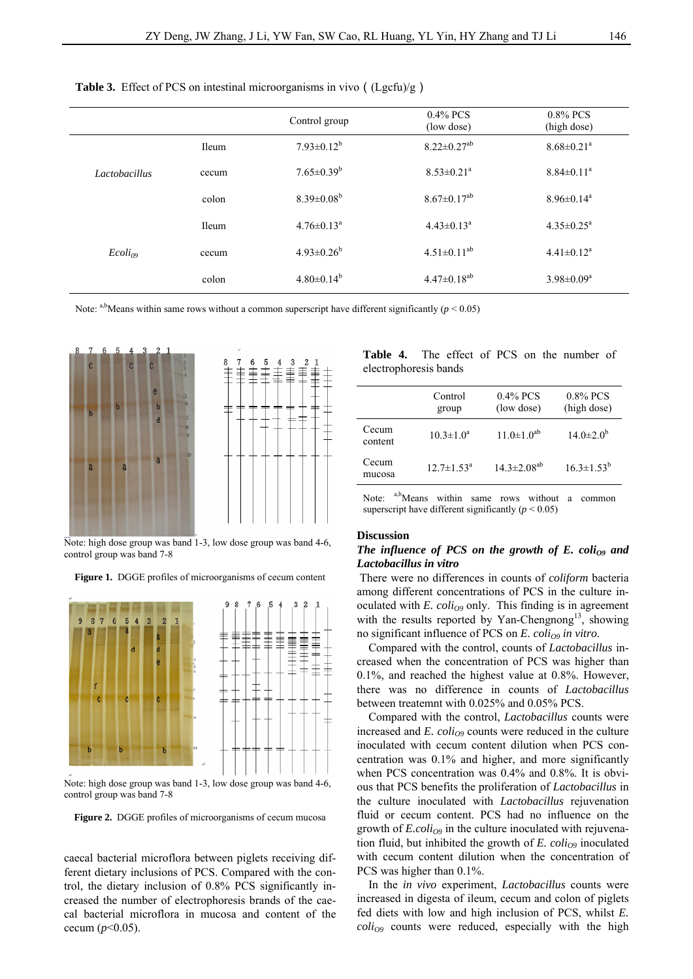|               |              | Control group              | $0.4\%$ PCS<br>(low dose)     | $0.8\%$ PCS<br>(high dose)   |
|---------------|--------------|----------------------------|-------------------------------|------------------------------|
| Lactobacillus | Ileum        | $7.93 \pm 0.12^b$          | $8.22 \pm 0.27$ <sup>ab</sup> | $8.68 \pm 0.21$ <sup>a</sup> |
|               | cecum        | $7.65 \pm 0.39^b$          | $8.53 \pm 0.21^a$             | $8.84 \pm 0.11$ <sup>a</sup> |
|               | colon        | $8.39 \pm 0.08^b$          | $8.67 \pm 0.17^{ab}$          | $8.96 \pm 0.14$ <sup>a</sup> |
| $Ecoli_{09}$  | <b>Ileum</b> | $4.76 \pm 0.13^{\text{a}}$ | $4.43 \pm 0.13^a$             | $4.35 \pm 0.25^{\text{a}}$   |
|               | cecum        | $4.93 \pm 0.26^b$          | $4.51 \pm 0.11^{ab}$          | $4.41 \pm 0.12^a$            |
|               | colon        | $4.80 \pm 0.14^b$          | $4.47 \pm 0.18^{ab}$          | $3.98 \pm 0.09^a$            |
|               |              |                            |                               |                              |

**Table 3.** Effect of PCS on intestinal microorganisms in vivo ((Lgcfu)/g)

Note: a,bMeans within same rows without a common superscript have different significantly ( $p < 0.05$ )



Note: high dose group was band 1-3, low dose group was band 4-6, control group was band 7-8

**Figure 1.** DGGE profiles of microorganisms of cecum content



Note: high dose group was band 1-3, low dose group was band 4-6, control group was band 7-8

**Figure 2.** DGGE profiles of microorganisms of cecum mucosa

caecal bacterial microflora between piglets receiving different dietary inclusions of PCS. Compared with the control, the dietary inclusion of 0.8% PCS significantly increased the number of electrophoresis brands of the caecal bacterial microflora in mucosa and content of the cecum  $(p<0.05)$ .

|                       |  |  |  | <b>Table 4.</b> The effect of PCS on the number of |  |
|-----------------------|--|--|--|----------------------------------------------------|--|
| electrophoresis bands |  |  |  |                                                    |  |

|                  | Control<br>group           | $0.4\%$ PCS<br>(low dose) | $0.8\%$ PCS<br>(high dose) |
|------------------|----------------------------|---------------------------|----------------------------|
| Cecum<br>content | $10.3 \pm 1.0^a$           | $11.0 \pm 1.0^{ab}$       | $14.0 \pm 2.0^{\circ}$     |
| Cecum<br>mucosa  | $12.7 \pm 1.53^{\text{a}}$ | $14.3 \pm 2.08^{ab}$      | $16.3 \pm 1.53^b$          |

Note: a,b<sub>Means</sub> within same rows without a common superscript have different significantly  $(p < 0.05)$ 

#### **Discussion**

# The influence of PCS on the growth of E. coli<sub>O9</sub> and *Lactobacillus in vitro*

 There were no differences in counts of *coliform* bacteria among different concentrations of PCS in the culture inoculated with  $E.$   $coli<sub>09</sub>$  only. This finding is in agreement with the results reported by Yan-Chengnong<sup>13</sup>, showing no significant influence of PCS on  $E$ . coli<sub>O9</sub> in vitro.

Compared with the control, counts of *Lactobacillus* increased when the concentration of PCS was higher than 0.1%, and reached the highest value at 0.8%. However, there was no difference in counts of *Lactobacillus* between treatemnt with 0.025% and 0.05% PCS.

 Compared with the control, *Lactobacillus* counts were increased and  $E.$   $coli<sub>09</sub>$  counts were reduced in the culture inoculated with cecum content dilution when PCS concentration was 0.1% and higher, and more significantly when PCS concentration was 0.4% and 0.8%. It is obvious that PCS benefits the proliferation of *Lactobacillus* in the culture inoculated with *Lactobacillus* rejuvenation fluid or cecum content. PCS had no influence on the growth of  $E_{\text{.}coll<sub>O9</sub>}$  in the culture inoculated with rejuvenation fluid, but inhibited the growth of  $E$ .  $colio<sub>9</sub>$  inoculated with cecum content dilution when the concentration of PCS was higher than  $0.1\%$ .

In the *in vivo* experiment, *Lactobacillus* counts were increased in digesta of ileum, cecum and colon of piglets fed diets with low and high inclusion of PCS, whilst *E.*   $\text{coli}_{O9}$  counts were reduced, especially with the high